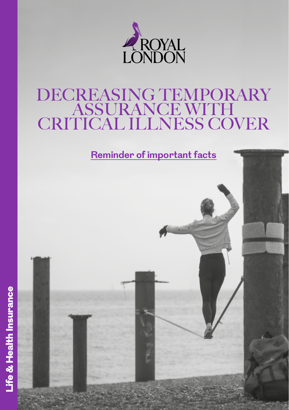

# DECREASING TEMPORARY ASSURANCE WITH CRITICAL ILLNESS COVER

**Reminder of important facts**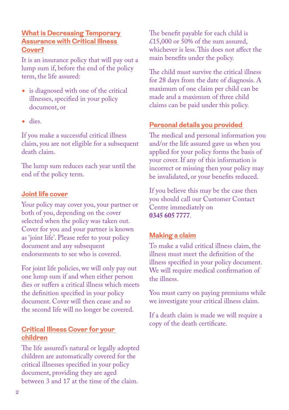# **What is Decreasing Temporary Assurance with Critical Illness Cover?**

It is an insurance policy that will pay out a lump sum if, before the end of the policy term, the life assured:

- is diagnosed with one of the critical illnesses, specified in your policy document, or
- dies.

If you make a successful critical illness claim, you are not eligible for a subsequent death claim.

The lump sum reduces each year until the end of the policy term.

#### **Joint life cover**

Your policy may cover you, your partner or both of you, depending on the cover selected when the policy was taken out. Cover for you and your partner is known as 'joint life'. Please refer to your policy document and any subsequent endorsements to see who is covered.

For joint life policies, we will only pay out one lump sum if and when either person dies or suffers a critical illness which meets the definition specified in your policy document. Cover will then cease and so the second life will no longer be covered.

#### **Critical Illness Cover for your children**

The life assured's natural or legally adopted children are automatically covered for the critical illnesses specified in your policy document, providing they are aged between 3 and 17 at the time of the claim.

The benefit payable for each child is £15,000 or 50% of the sum assured. whichever is less. This does not affect the main benefits under the policy.

The child must survive the critical illness for 28 days from the date of diagnosis. A maximum of one claim per child can be made and a maximum of three child claims can be paid under this policy.

# **Personal details you provided**

The medical and personal information you and/or the life assured gave us when you applied for your policy forms the basis of your cover. If any of this information is incorrect or missing then your policy may be invalidated, or your benefits reduced.

If you believe this may be the case then you should call our Customer Contact Centre immediately on **0345 605 7777**.

#### **Making a claim**

To make a valid critical illness claim, the illness must meet the definition of the illness specified in your policy document. We will require medical confirmation of the illness.

You must carry on paying premiums while we investigate your critical illness claim.

If a death claim is made we will require a copy of the death certificate.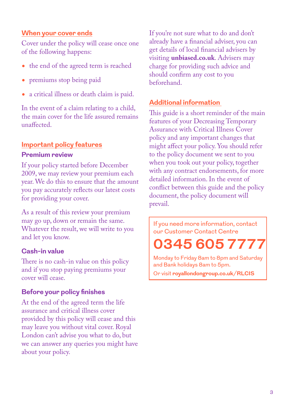# **When your cover ends**

Cover under the policy will cease once one of the following happens:

- the end of the agreed term is reached
- premiums stop being paid
- a critical illness or death claim is paid.

In the event of a claim relating to a child, the main cover for the life assured remains unaffected.

# **Important policy features**

### **Premium review**

If your policy started before December 2009, we may review your premium each year. We do this to ensure that the amount you pay accurately reflects our latest costs for providing your cover.

As a result of this review your premium may go up, down or remain the same. Whatever the result, we will write to you and let you know.

# **Cash-in value**

There is no cash-in value on this policy and if you stop paying premiums your cover will cease.

# **Before your policy finishes**

At the end of the agreed term the life assurance and critical illness cover provided by this policy will cease and this may leave you without vital cover. Royal London can't advise you what to do, but we can answer any queries you might have about your policy.

If you're not sure what to do and don't already have a financial adviser, you can get details of local financial advisers by visiting **[unbiased.co.uk](http://unbiased.co.uk)**. Advisers may charge for providing such advice and should confirm any cost to you beforehand.

# **Additional information**

This guide is a short reminder of the main features of your Decreasing Temporary Assurance with Critical Illness Cover policy and any important changes that might affect your policy. You should refer to the policy document we sent to you when you took out your policy, together with any contract endorsements, for more detailed information. In the event of conflict between this guide and the policy document, the policy document will prevail.

If you need more information, contact our Customer Contact Centre

**0345 605 7777**

Monday to Friday 8am to 8pm and Saturday and Bank holidays 8am to 5pm.

Or visit **[royallondongroup.co.uk/RLCIS](http://www.royallondongroup.co.uk/RLCIS)**